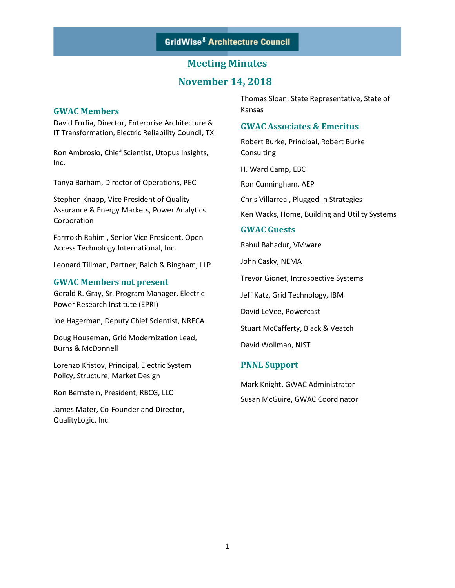## **November 14, 2018**

#### **GWAC Members**

David Forfia, Director, Enterprise Architecture & IT Transformation, Electric Reliability Council, TX

Ron Ambrosio, Chief Scientist, Utopus Insights, Inc.

Tanya Barham, Director of Operations, PEC

Stephen Knapp, Vice President of Quality Assurance & Energy Markets, Power Analytics Corporation

Farrrokh Rahimi, Senior Vice President, Open Access Technology International, Inc.

Leonard Tillman, Partner, Balch & Bingham, LLP

#### **GWAC Members not present**

Gerald R. Gray, Sr. Program Manager, Electric Power Research Institute (EPRI)

Joe Hagerman, Deputy Chief Scientist, NRECA

Doug Houseman, Grid Modernization Lead, Burns & McDonnell

Lorenzo Kristov, Principal, Electric System Policy, Structure, Market Design

Ron Bernstein, President, RBCG, LLC

James Mater, Co-Founder and Director, QualityLogic, Inc.

Thomas Sloan, State Representative, State of Kansas

#### **GWAC Associates & Emeritus**

Robert Burke, Principal, Robert Burke **Consulting** 

H. Ward Camp, EBC

Ron Cunningham, AEP

Chris Villarreal, Plugged In Strategies

Ken Wacks, Home, Building and Utility Systems

#### **GWAC Guests**

Rahul Bahadur, VMware

John Casky, NEMA

Trevor Gionet, Introspective Systems

Jeff Katz, Grid Technology, IBM

David LeVee, Powercast

Stuart McCafferty, Black & Veatch

David Wollman, NIST

#### **PNNL Support**

Mark Knight, GWAC Administrator Susan McGuire, GWAC Coordinator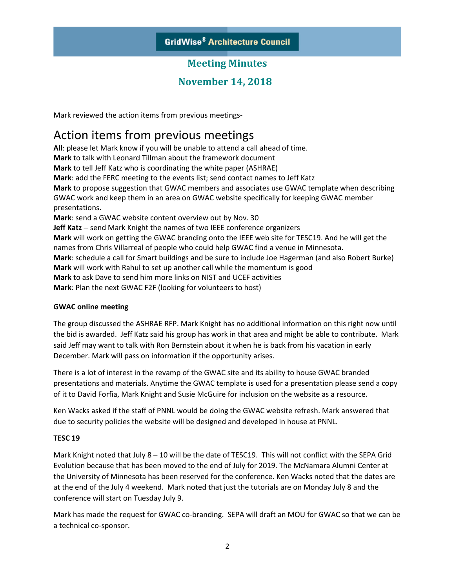## **November 14, 2018**

Mark reviewed the action items from previous meetings-

## Action items from previous meetings

**All**: please let Mark know if you will be unable to attend a call ahead of time. **Mark** to talk with Leonard Tillman about the framework document **Mark** to tell Jeff Katz who is coordinating the white paper (ASHRAE) **Mark**: add the FERC meeting to the events list; send contact names to Jeff Katz **Mark** to propose suggestion that GWAC members and associates use GWAC template when describing GWAC work and keep them in an area on GWAC website specifically for keeping GWAC member presentations. **Mark**: send a GWAC website content overview out by Nov. 30 **Jeff Katz** – send Mark Knight the names of two IEEE conference organizers **Mark** will work on getting the GWAC branding onto the IEEE web site for TESC19. And he will get the names from Chris Villarreal of people who could help GWAC find a venue in Minnesota. **Mark**: schedule a call for Smart buildings and be sure to include Joe Hagerman (and also Robert Burke) **Mark** will work with Rahul to set up another call while the momentum is good **Mark** to ask Dave to send him more links on NIST and UCEF activities **Mark**: Plan the next GWAC F2F (looking for volunteers to host)

#### **GWAC online meeting**

The group discussed the ASHRAE RFP. Mark Knight has no additional information on this right now until the bid is awarded. Jeff Katz said his group has work in that area and might be able to contribute. Mark said Jeff may want to talk with Ron Bernstein about it when he is back from his vacation in early December. Mark will pass on information if the opportunity arises.

There is a lot of interest in the revamp of the GWAC site and its ability to house GWAC branded presentations and materials. Anytime the GWAC template is used for a presentation please send a copy of it to David Forfia, Mark Knight and Susie McGuire for inclusion on the website as a resource.

Ken Wacks asked if the staff of PNNL would be doing the GWAC website refresh. Mark answered that due to security policies the website will be designed and developed in house at PNNL.

#### **TESC 19**

Mark Knight noted that July 8 – 10 will be the date of TESC19. This will not conflict with the SEPA Grid Evolution because that has been moved to the end of July for 2019. The McNamara Alumni Center at the University of Minnesota has been reserved for the conference. Ken Wacks noted that the dates are at the end of the July 4 weekend. Mark noted that just the tutorials are on Monday July 8 and the conference will start on Tuesday July 9.

Mark has made the request for GWAC co-branding. SEPA will draft an MOU for GWAC so that we can be a technical co-sponsor.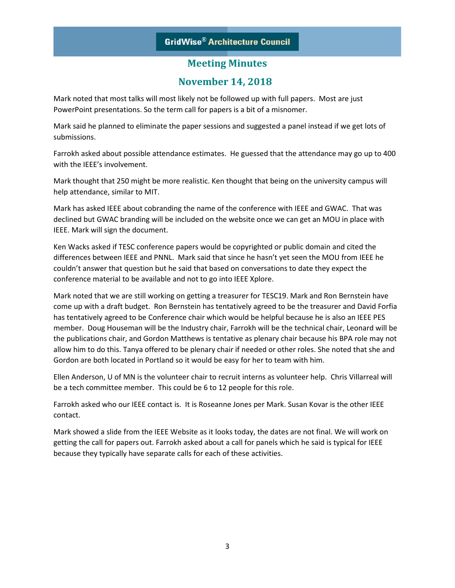## **GridWise® Architecture Council**

## **Meeting Minutes**

## **November 14, 2018**

Mark noted that most talks will most likely not be followed up with full papers. Most are just PowerPoint presentations. So the term call for papers is a bit of a misnomer.

Mark said he planned to eliminate the paper sessions and suggested a panel instead if we get lots of submissions.

Farrokh asked about possible attendance estimates. He guessed that the attendance may go up to 400 with the IEEE's involvement.

Mark thought that 250 might be more realistic. Ken thought that being on the university campus will help attendance, similar to MIT.

Mark has asked IEEE about cobranding the name of the conference with IEEE and GWAC. That was declined but GWAC branding will be included on the website once we can get an MOU in place with IEEE. Mark will sign the document.

Ken Wacks asked if TESC conference papers would be copyrighted or public domain and cited the differences between IEEE and PNNL. Mark said that since he hasn't yet seen the MOU from IEEE he couldn't answer that question but he said that based on conversations to date they expect the conference material to be available and not to go into IEEE Xplore.

Mark noted that we are still working on getting a treasurer for TESC19. Mark and Ron Bernstein have come up with a draft budget. Ron Bernstein has tentatively agreed to be the treasurer and David Forfia has tentatively agreed to be Conference chair which would be helpful because he is also an IEEE PES member. Doug Houseman will be the Industry chair, Farrokh will be the technical chair, Leonard will be the publications chair, and Gordon Matthews is tentative as plenary chair because his BPA role may not allow him to do this. Tanya offered to be plenary chair if needed or other roles. She noted that she and Gordon are both located in Portland so it would be easy for her to team with him.

Ellen Anderson, U of MN is the volunteer chair to recruit interns as volunteer help. Chris Villarreal will be a tech committee member. This could be 6 to 12 people for this role.

Farrokh asked who our IEEE contact is. It is Roseanne Jones per Mark. Susan Kovar is the other IEEE contact.

Mark showed a slide from the IEEE Website as it looks today, the dates are not final. We will work on getting the call for papers out. Farrokh asked about a call for panels which he said is typical for IEEE because they typically have separate calls for each of these activities.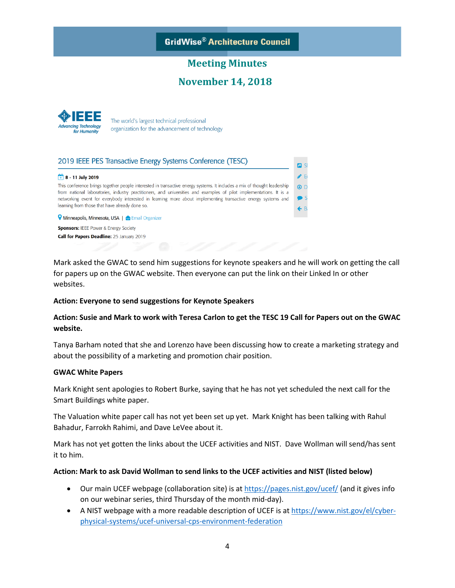

## **November 14, 2018**

**n** sl  $\blacktriangleright$  E



The world's largest technical professional organization for the advancement of technology

#### 2019 IEEE PES Transactive Energy Systems Conference (TESC)

#### $+ 8 - 11$  July 2019

This conference brings together people interested in transactive energy systems. It includes a mix of thought leadership  $\odot$  D from national laboratories, industry practitioners, and universities and examples of pilot implementations. It is a networking event for everybody interested in learning more about implementing transactive energy systems and learning from those that have already done so.

V Minneapolis, Minnesota, USA | ○ Email Organizer **Sponsors: IEEE Power & Energy Society** Call for Papers Deadline: 25 January 2019

Mark asked the GWAC to send him suggestions for keynote speakers and he will work on getting the call for papers up on the GWAC website. Then everyone can put the link on their Linked In or other websites.

#### **Action: Everyone to send suggestions for Keynote Speakers**

#### **Action: Susie and Mark to work with Teresa Carlon to get the TESC 19 Call for Papers out on the GWAC website.**

Tanya Barham noted that she and Lorenzo have been discussing how to create a marketing strategy and about the possibility of a marketing and promotion chair position.

#### **GWAC White Papers**

Mark Knight sent apologies to Robert Burke, saying that he has not yet scheduled the next call for the Smart Buildings white paper.

The Valuation white paper call has not yet been set up yet. Mark Knight has been talking with Rahul Bahadur, Farrokh Rahimi, and Dave LeVee about it.

Mark has not yet gotten the links about the UCEF activities and NIST. Dave Wollman will send/has sent it to him.

#### **Action: Mark to ask David Wollman to send links to the UCEF activities and NIST (listed below)**

- Our main UCEF webpage (collaboration site) is at<https://pages.nist.gov/ucef/> (and it gives info on our webinar series, third Thursday of the month mid-day).
- A NIST webpage with a more readable description of UCEF is at [https://www.nist.gov/el/cyber](https://www.nist.gov/el/cyber-physical-systems/ucef-universal-cps-environment-federation)[physical-systems/ucef-universal-cps-environment-federation](https://www.nist.gov/el/cyber-physical-systems/ucef-universal-cps-environment-federation)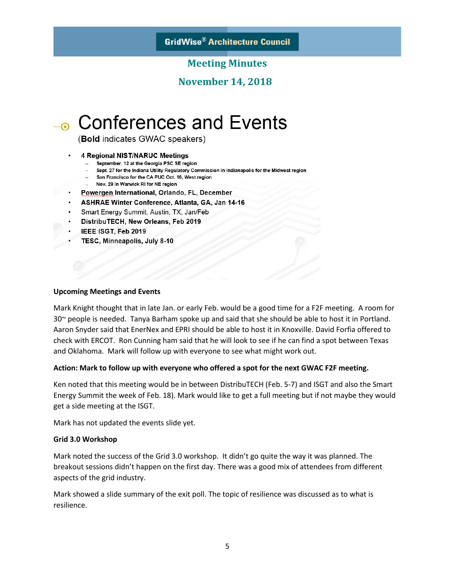**GridWise® Architecture Council** 

### **Meeting Minutes**

## **November 14, 2018**

# → Conferences and Events

(Bold indicates GWAC speakers)

- **4 Regional NIST/NARUC Meetings** 
	- September. 12 at the Georgia PSC SE region
	- Sept. 27 for the Indiana Utility Regulatory Commission in Indianapolis for the Midwest region
	- San Francisco for the CA PUC Oct. 16, West region
	- Nov. 29 in Warwick RI for NE region
	- Powergen International, Orlando, FL, December
- ASHRAE Winter Conference, Atlanta, GA, Jan 14-16
- Smart Energy Summit, Austin, TX, Jan/Feb
- DistribuTECH, New Orleans, Feb 2019
- IEEE ISGT, Feb 2019
- TESC, Minneapolis, July 8-10

#### **Upcoming Meetings and Events**

Mark Knight thought that in late Jan. or early Feb. would be a good time for a F2F meeting. A room for 30~ people is needed. Tanya Barham spoke up and said that she should be able to host it in Portland. Aaron Snyder said that EnerNex and EPRI should be able to host it in Knoxville. David Forfia offered to check with ERCOT. Ron Cunning ham said that he will look to see if he can find a spot between Texas and Oklahoma. Mark will follow up with everyone to see what might work out.

#### **Action: Mark to follow up with everyone who offered a spot for the next GWAC F2F meeting.**

Ken noted that this meeting would be in between DistribuTECH (Feb. 5-7) and ISGT and also the Smart Energy Summit the week of Feb. 18). Mark would like to get a full meeting but if not maybe they would get a side meeting at the ISGT.

Mark has not updated the events slide yet.

#### **Grid 3.0 Workshop**

Mark noted the success of the Grid 3.0 workshop. It didn't go quite the way it was planned. The breakout sessions didn't happen on the first day. There was a good mix of attendees from different aspects of the grid industry.

Mark showed a slide summary of the exit poll. The topic of resilience was discussed as to what is resilience.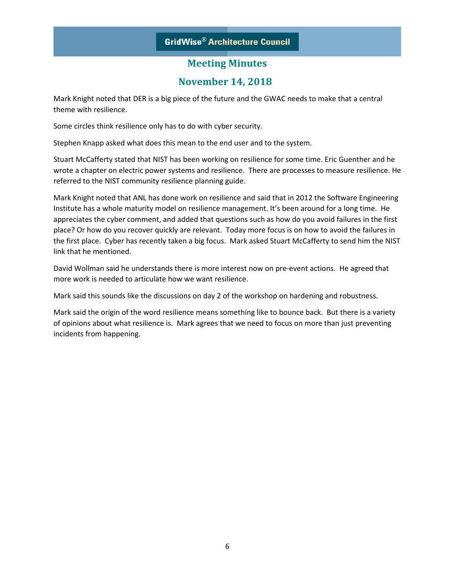## **GridWise® Architecture Council**

## **Meeting Minutes**

## **November 14, 2018**

Mark Knight noted that DER is a big piece of the future and the GWAC needs to make that a central theme with resilience.

Some circles think resilience only has to do with cyber security.

Stephen Knapp asked what does this mean to the end user and to the system.

Stuart McCafferty stated that NIST has been working on resilience for some time. Eric Guenther and he wrote a chapter on electric power systems and resilience. There are processes to measure resilience. He referred to the NIST community resilience planning guide.

Mark Knight noted that ANL has done work on resilience and said that in 2012 the Software Engineering Institute has a whole maturity model on resilience management. It's been around for a long time. He appreciates the cyber comment, and added that questions such as how do you avoid failures in the first place? Or how do you recover quickly are relevant. Today more focus is on how to avoid the failures in the first place. Cyber has recently taken a big focus. Mark asked Stuart McCafferty to send him the NIST link that he mentioned.

David Wollman said he understands there is more interest now on pre-event actions. He agreed that more work is needed to articulate how we want resilience.

Mark said this sounds like the discussions on day 2 of the workshop on hardening and robustness.

Mark said the origin of the word resilience means something like to bounce back. But there is a variety of opinions about what resilience is. Mark agrees that we need to focus on more than just preventing incidents from happening.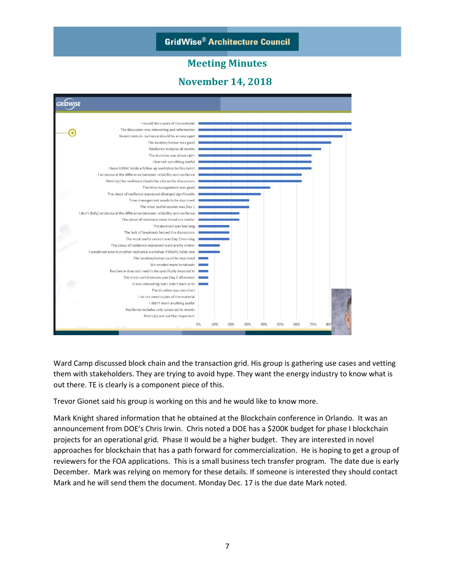

**GridWise® Architecture Council** 

Ward Camp discussed block chain and the transaction grid. His group is gathering use cases and vetting them with stakeholders. They are trying to avoid hype. They want the energy industry to know what is out there. TE is clearly is a component piece of this.

Trevor Gionet said his group is working on this and he would like to know more.

Mark Knight shared information that he obtained at the Blockchain conference in Orlando. It was an announcement from DOE's Chris Irwin. Chris noted a DOE has a \$200K budget for phase I blockchain projects for an operational grid. Phase II would be a higher budget. They are interested in novel approaches for blockchain that has a path forward for commercialization. He is hoping to get a group of reviewers for the FOA applications. This is a small business tech transfer program. The date due is early December. Mark was relying on memory for these details. If someone is interested they should contact Mark and he will send them the document. Monday Dec. 17 is the due date Mark noted.